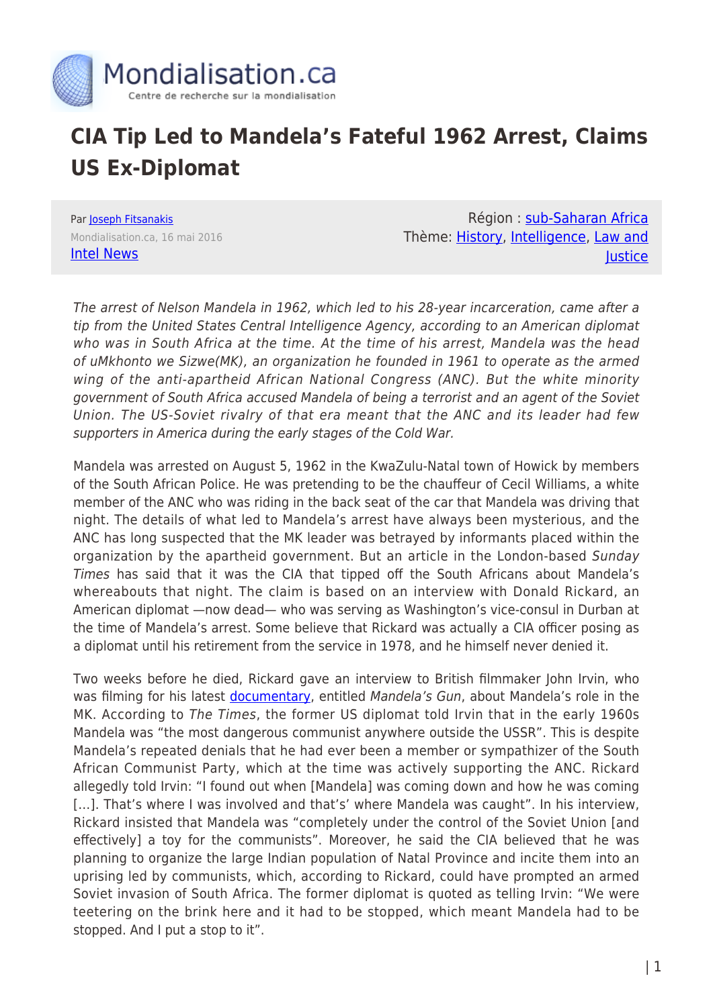

## **CIA Tip Led to Mandela's Fateful 1962 Arrest, Claims US Ex-Diplomat**

Par **[Joseph Fitsanakis](https://www.mondialisation.ca/author/joseph-fitsanakis)** Mondialisation.ca, 16 mai 2016 [Intel News](https://intelnews.org/2016/05/16/01-1901/?utm_content=bufferaf822&utm_medium=social&utm_source=facebook.com&utm_campaign=buffer)

Région : [sub-Saharan Africa](https://www.mondialisation.ca/region/sub-saharan-africa) Thème: [History,](https://www.mondialisation.ca/theme/culture-society-history) [Intelligence](https://www.mondialisation.ca/theme/intelligence), [Law and](https://www.mondialisation.ca/theme/law-and-justice) **lustice** 

The arrest of Nelson Mandela in 1962, which led to his 28-year incarceration, came after a tip from the United States Central Intelligence Agency, according to an American diplomat who was in South Africa at the time. At the time of his arrest, Mandela was the head of uMkhonto we Sizwe(MK), an organization he founded in 1961 to operate as the armed wing of the anti-apartheid African National Congress (ANC). But the white minority government of South Africa accused Mandela of being a terrorist and an agent of the Soviet Union. The US-Soviet rivalry of that era meant that the ANC and its leader had few supporters in America during the early stages of the Cold War.

Mandela was arrested on August 5, 1962 in the KwaZulu-Natal town of Howick by members of the South African Police. He was pretending to be the chauffeur of Cecil Williams, a white member of the ANC who was riding in the back seat of the car that Mandela was driving that night. The details of what led to Mandela's arrest have always been mysterious, and the ANC has long suspected that the MK leader was betrayed by informants placed within the organization by the apartheid government. But an article in the London-based Sunday Times has said that it was the CIA that tipped off the South Africans about Mandela's whereabouts that night. The claim is based on an interview with Donald Rickard, an American diplomat —now dead— who was serving as Washington's vice-consul in Durban at the time of Mandela's arrest. Some believe that Rickard was actually a CIA officer posing as a diplomat until his retirement from the service in 1978, and he himself never denied it.

Two weeks before he died, Rickard gave an interview to British filmmaker John Irvin, who was filming for his latest [documentary](http://www.imdb.com/title/tt4171652/), entitled Mandela's Gun, about Mandela's role in the MK. According to The Times, the former US diplomat told Irvin that in the early 1960s Mandela was "the most dangerous communist anywhere outside the USSR". This is despite Mandela's repeated denials that he had ever been a member or sympathizer of the South African Communist Party, which at the time was actively supporting the ANC. Rickard allegedly told Irvin: "I found out when [Mandela] was coming down and how he was coming [...]. That's where I was involved and that's' where Mandela was caught". In his interview, Rickard insisted that Mandela was "completely under the control of the Soviet Union [and effectively] a toy for the communists". Moreover, he said the CIA believed that he was planning to organize the large Indian population of Natal Province and incite them into an uprising led by communists, which, according to Rickard, could have prompted an armed Soviet invasion of South Africa. The former diplomat is quoted as telling Irvin: "We were teetering on the brink here and it had to be stopped, which meant Mandela had to be stopped. And I put a stop to it".